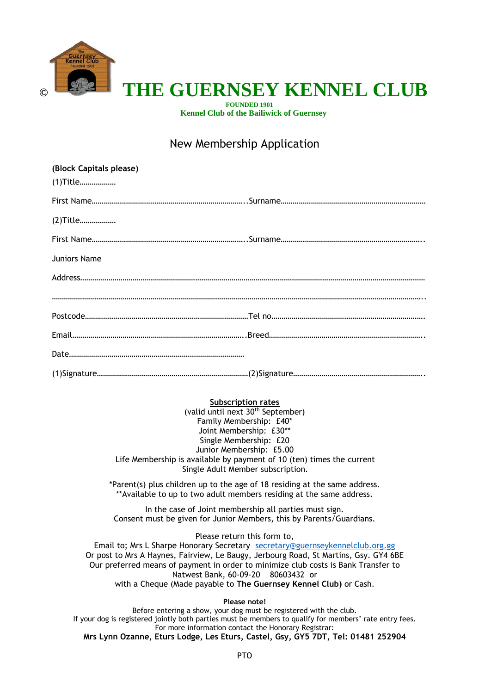

# **HE GUERNSEY KENNEL CLUB**

 **FOUNDED 1901 Kennel Club of the Bailiwick of Guernsey**

### New Membership Application

| (Block Capitals please) |  |
|-------------------------|--|
| (1) Title               |  |
|                         |  |
| (2) Title               |  |
|                         |  |
| Juniors Name            |  |
|                         |  |
|                         |  |
|                         |  |
|                         |  |
|                         |  |
|                         |  |

#### **Subscription rates**

(valid until next 30th September) Family Membership: £40\* Joint Membership: £30\*\* Single Membership: £20 Junior Membership: £5.00 Life Membership is available by payment of 10 (ten) times the current Single Adult Member subscription.

\*Parent(s) plus children up to the age of 18 residing at the same address. \*\*Available to up to two adult members residing at the same address.

In the case of Joint membership all parties must sign. Consent must be given for Junior Members, this by Parents/Guardians.

Please return this form to,

Email to; Mrs L Sharpe Honorary Secretary [secretary@guernseykennelclub.org.gg](mailto:secretary@guernseykennelclub.org.gg) Or post to Mrs A Haynes, Fairview, Le Baugy, Jerbourg Road, St Martins, Gsy. GY4 6BE Our preferred means of payment in order to minimize club costs is Bank Transfer to Natwest Bank, 60-09-20 80603432 or with a Cheque (Made payable to **The Guernsey Kennel Club)** or Cash.

**Please note!**

Before entering a show, your dog must be registered with the club. If your dog is registered jointly both parties must be members to qualify for members' rate entry fees. For more information contact the Honorary Registrar: **Mrs Lynn Ozanne, Eturs Lodge, Les Eturs, Castel, Gsy, GY5 7DT, Tel: 01481 252904**